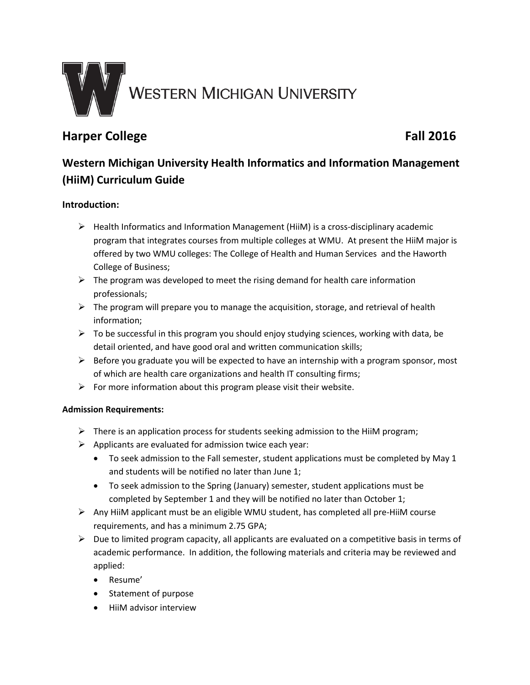

# **Harper College Fall 2016**

# **Western Michigan University Health Informatics and Information Management (HiiM) Curriculum Guide**

## **Introduction:**

- $\triangleright$  Health Informatics and Information Management (HiiM) is a cross-disciplinary academic program that integrates courses from multiple colleges at WMU. At present the HiiM major is offered by two WMU colleges: The College of Health and Human Services and the Haworth College of Business;
- $\triangleright$  The program was developed to meet the rising demand for health care information professionals;
- $\triangleright$  The program will prepare you to manage the acquisition, storage, and retrieval of health information;
- $\triangleright$  To be successful in this program you should enjoy studying sciences, working with data, be detail oriented, and have good oral and written communication skills;
- $\triangleright$  Before you graduate you will be expected to have an internship with a program sponsor, most of which are health care organizations and health IT consulting firms;
- $\triangleright$  For more information about this program please visit their website.

### **Admission Requirements:**

- $\triangleright$  There is an application process for students seeking admission to the HiiM program;
- $\triangleright$  Applicants are evaluated for admission twice each year:
	- To seek admission to the Fall semester, student applications must be completed by May 1 and students will be notified no later than June 1;
	- To seek admission to the Spring (January) semester, student applications must be completed by September 1 and they will be notified no later than October 1;
- $\triangleright$  Any HiiM applicant must be an eligible WMU student, has completed all pre-HiiM course requirements, and has a minimum 2.75 GPA;
- $\triangleright$  Due to limited program capacity, all applicants are evaluated on a competitive basis in terms of academic performance. In addition, the following materials and criteria may be reviewed and applied:
	- Resume'
	- Statement of purpose
	- HiiM advisor interview